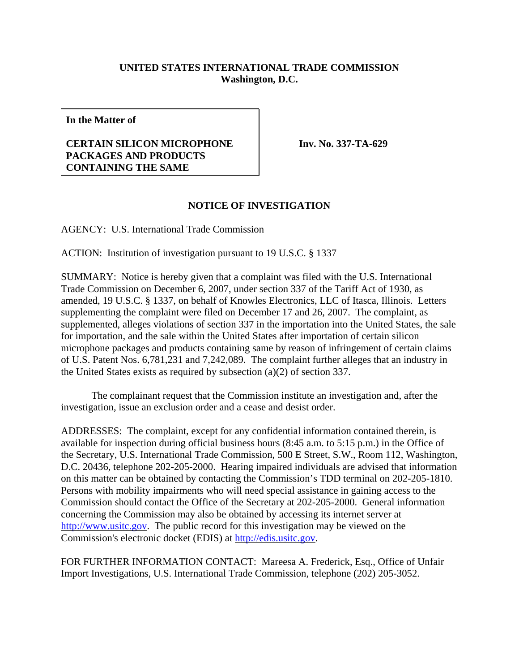## **UNITED STATES INTERNATIONAL TRADE COMMISSION Washington, D.C.**

**In the Matter of**

## **CERTAIN SILICON MICROPHONE PACKAGES AND PRODUCTS CONTAINING THE SAME**

**Inv. No. 337-TA-629**

## **NOTICE OF INVESTIGATION**

AGENCY: U.S. International Trade Commission

ACTION: Institution of investigation pursuant to 19 U.S.C. § 1337

SUMMARY: Notice is hereby given that a complaint was filed with the U.S. International Trade Commission on December 6, 2007, under section 337 of the Tariff Act of 1930, as amended, 19 U.S.C. § 1337, on behalf of Knowles Electronics, LLC of Itasca, Illinois. Letters supplementing the complaint were filed on December 17 and 26, 2007. The complaint, as supplemented, alleges violations of section 337 in the importation into the United States, the sale for importation, and the sale within the United States after importation of certain silicon microphone packages and products containing same by reason of infringement of certain claims of U.S. Patent Nos. 6,781,231 and 7,242,089. The complaint further alleges that an industry in the United States exists as required by subsection (a)(2) of section 337.

The complainant request that the Commission institute an investigation and, after the investigation, issue an exclusion order and a cease and desist order.

ADDRESSES: The complaint, except for any confidential information contained therein, is available for inspection during official business hours (8:45 a.m. to 5:15 p.m.) in the Office of the Secretary, U.S. International Trade Commission, 500 E Street, S.W., Room 112, Washington, D.C. 20436, telephone 202-205-2000. Hearing impaired individuals are advised that information on this matter can be obtained by contacting the Commission's TDD terminal on 202-205-1810. Persons with mobility impairments who will need special assistance in gaining access to the Commission should contact the Office of the Secretary at 202-205-2000. General information concerning the Commission may also be obtained by accessing its internet server at http://www.usitc.gov. The public record for this investigation may be viewed on the Commission's electronic docket (EDIS) at http://edis.usitc.gov.

FOR FURTHER INFORMATION CONTACT: Mareesa A. Frederick, Esq., Office of Unfair Import Investigations, U.S. International Trade Commission, telephone (202) 205-3052.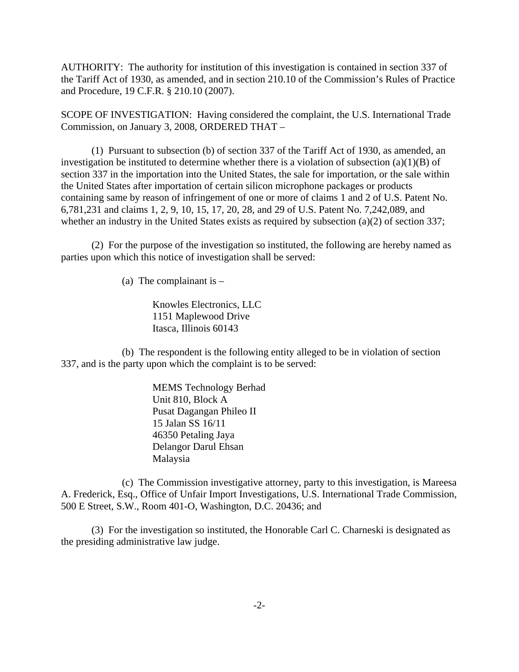AUTHORITY: The authority for institution of this investigation is contained in section 337 of the Tariff Act of 1930, as amended, and in section 210.10 of the Commission's Rules of Practice and Procedure, 19 C.F.R. § 210.10 (2007).

SCOPE OF INVESTIGATION: Having considered the complaint, the U.S. International Trade Commission, on January 3, 2008, ORDERED THAT –

(1) Pursuant to subsection (b) of section 337 of the Tariff Act of 1930, as amended, an investigation be instituted to determine whether there is a violation of subsection  $(a)(1)(B)$  of section 337 in the importation into the United States, the sale for importation, or the sale within the United States after importation of certain silicon microphone packages or products containing same by reason of infringement of one or more of claims 1 and 2 of U.S. Patent No. 6,781,231 and claims 1, 2, 9, 10, 15, 17, 20, 28, and 29 of U.S. Patent No. 7,242,089, and whether an industry in the United States exists as required by subsection (a)(2) of section 337;

(2) For the purpose of the investigation so instituted, the following are hereby named as parties upon which this notice of investigation shall be served:

(a) The complainant is  $-$ 

Knowles Electronics, LLC 1151 Maplewood Drive Itasca, Illinois 60143

(b) The respondent is the following entity alleged to be in violation of section 337, and is the party upon which the complaint is to be served:

> MEMS Technology Berhad Unit 810, Block A Pusat Dagangan Phileo II 15 Jalan SS 16/11 46350 Petaling Jaya Delangor Darul Ehsan Malaysia

(c) The Commission investigative attorney, party to this investigation, is Mareesa A. Frederick, Esq., Office of Unfair Import Investigations, U.S. International Trade Commission, 500 E Street, S.W., Room 401-O, Washington, D.C. 20436; and

(3) For the investigation so instituted, the Honorable Carl C. Charneski is designated as the presiding administrative law judge.